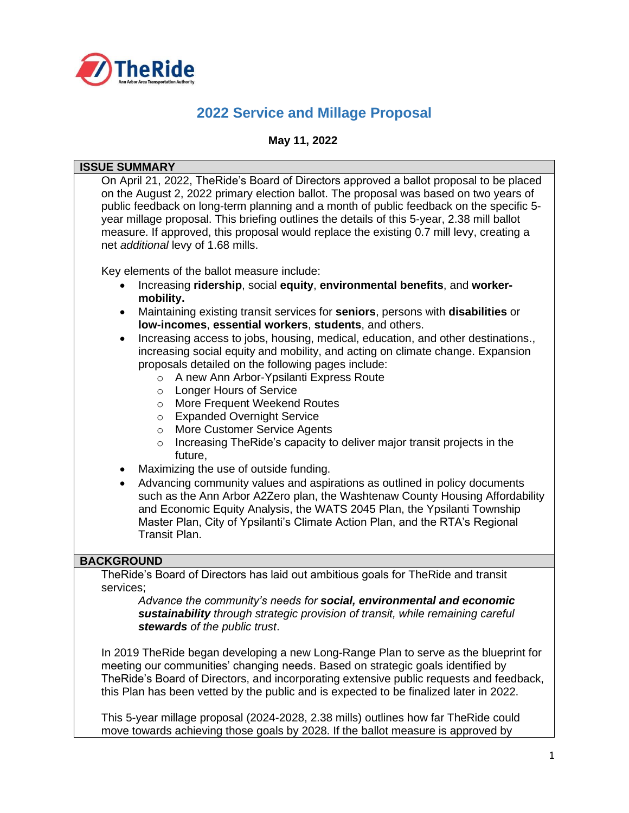

# **2022 Service and Millage Proposal**

#### **May 11, 2022**

#### **ISSUE SUMMARY**

On April 21, 2022, TheRide's Board of Directors approved a ballot proposal to be placed on the August 2, 2022 primary election ballot. The proposal was based on two years of public feedback on long-term planning and a month of public feedback on the specific 5 year millage proposal. This briefing outlines the details of this 5-year, 2.38 mill ballot measure. If approved, this proposal would replace the existing 0.7 mill levy, creating a net *additional* levy of 1.68 mills. Key elements of the ballot measure include: • Increasing **ridership**, social **equity**, **environmental benefits**, and **workermobility.** • Maintaining existing transit services for **seniors**, persons with **disabilities** or **low-incomes**, **essential workers**, **students**, and others. • Increasing access to jobs, housing, medical, education, and other destinations., increasing social equity and mobility, and acting on climate change. Expansion proposals detailed on the following pages include: o A new Ann Arbor-Ypsilanti Express Route o Longer Hours of Service o More Frequent Weekend Routes o Expanded Overnight Service o More Customer Service Agents o Increasing TheRide's capacity to deliver major transit projects in the future, • Maximizing the use of outside funding. • Advancing community values and aspirations as outlined in policy documents such as the Ann Arbor A2Zero plan, the Washtenaw County Housing Affordability and Economic Equity Analysis, the WATS 2045 Plan, the Ypsilanti Township Master Plan, City of Ypsilanti's Climate Action Plan, and the RTA's Regional Transit Plan. **BACKGROUND** TheRide's Board of Directors has laid out ambitious goals for TheRide and transit services; *Advance the community's needs for social, environmental and economic sustainability through strategic provision of transit, while remaining careful stewards of the public trust*. In 2019 TheRide began developing a new Long-Range Plan to serve as the blueprint for meeting our communities' changing needs. Based on strategic goals identified by TheRide's Board of Directors, and incorporating extensive public requests and feedback, this Plan has been vetted by the public and is expected to be finalized later in 2022.

This 5-year millage proposal (2024-2028, 2.38 mills) outlines how far TheRide could move towards achieving those goals by 2028. If the ballot measure is approved by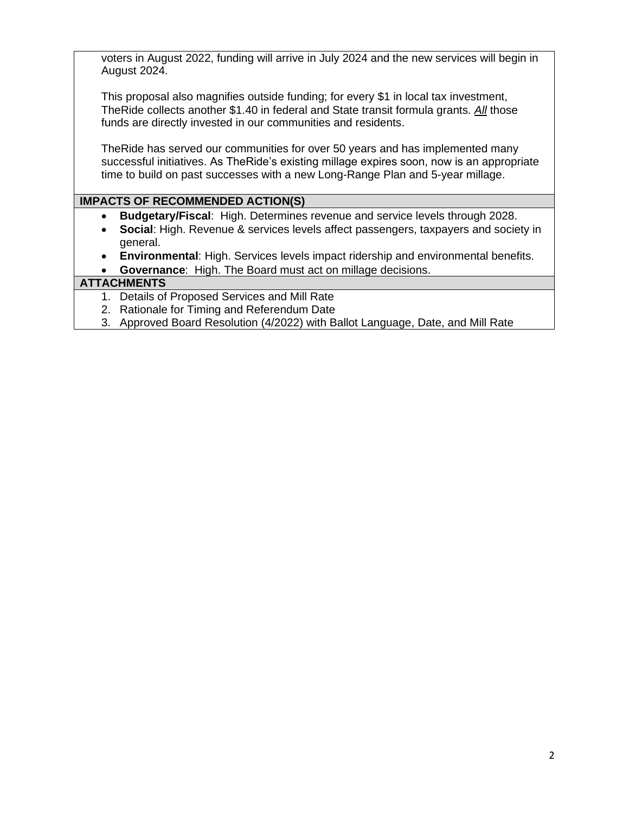voters in August 2022, funding will arrive in July 2024 and the new services will begin in August 2024.

This proposal also magnifies outside funding; for every \$1 in local tax investment, TheRide collects another \$1.40 in federal and State transit formula grants. *All* those funds are directly invested in our communities and residents.

TheRide has served our communities for over 50 years and has implemented many successful initiatives. As TheRide's existing millage expires soon, now is an appropriate time to build on past successes with a new Long-Range Plan and 5-year millage.

### **IMPACTS OF RECOMMENDED ACTION(S)**

- **Budgetary/Fiscal**: High. Determines revenue and service levels through 2028.
- **Social**: High. Revenue & services levels affect passengers, taxpayers and society in general.
- **Environmental**: High. Services levels impact ridership and environmental benefits.
- **Governance**: High. The Board must act on millage decisions.

#### **ATTACHMENTS**

- 1. Details of Proposed Services and Mill Rate
- 2. Rationale for Timing and Referendum Date
- 3. Approved Board Resolution (4/2022) with Ballot Language, Date, and Mill Rate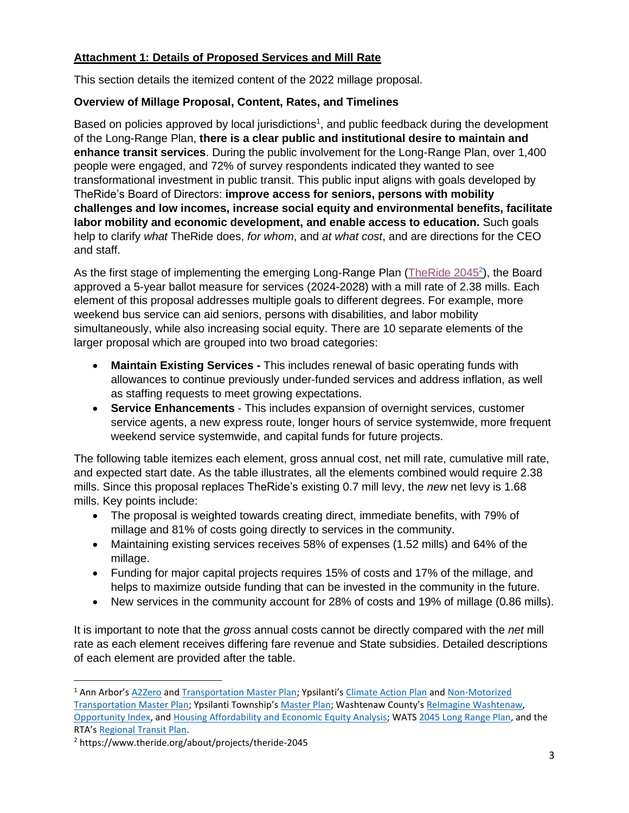# **Attachment 1: Details of Proposed Services and Mill Rate**

This section details the itemized content of the 2022 millage proposal.

# **Overview of Millage Proposal, Content, Rates, and Timelines**

Based on policies approved by local jurisdictions<sup>1</sup>, and public feedback during the development of the Long-Range Plan, **there is a clear public and institutional desire to maintain and enhance transit services**. During the public involvement for the Long-Range Plan, over 1,400 people were engaged, and 72% of survey respondents indicated they wanted to see transformational investment in public transit. This public input aligns with goals developed by TheRide's Board of Directors: **improve access for seniors, persons with mobility challenges and low incomes, increase social equity and environmental benefits, facilitate labor mobility and economic development, and enable access to education.** Such goals help to clarify *what* TheRide does, *for whom*, and *at what cost*, and are directions for the CEO and staff.

As the first stage of implementing the emerging Long-Range Plan (The Ride 2045<sup>2</sup>), the Board approved a 5-year ballot measure for services (2024-2028) with a mill rate of 2.38 mills. Each element of this proposal addresses multiple goals to different degrees. For example, more weekend bus service can aid seniors, persons with disabilities, and labor mobility simultaneously, while also increasing social equity. There are 10 separate elements of the larger proposal which are grouped into two broad categories:

- **Maintain Existing Services -** This includes renewal of basic operating funds with allowances to continue previously under-funded services and address inflation, as well as staffing requests to meet growing expectations.
- **Service Enhancements**  This includes expansion of overnight services, customer service agents, a new express route, longer hours of service systemwide, more frequent weekend service systemwide, and capital funds for future projects.

The following table itemizes each element, gross annual cost, net mill rate, cumulative mill rate, and expected start date. As the table illustrates, all the elements combined would require 2.38 mills. Since this proposal replaces TheRide's existing 0.7 mill levy, the *new* net levy is 1.68 mills. Key points include:

- The proposal is weighted towards creating direct, immediate benefits, with 79% of millage and 81% of costs going directly to services in the community.
- Maintaining existing services receives 58% of expenses (1.52 mills) and 64% of the millage.
- Funding for major capital projects requires 15% of costs and 17% of the millage, and helps to maximize outside funding that can be invested in the community in the future.
- New services in the community account for 28% of costs and 19% of millage (0.86 mills).

It is important to note that the *gross* annual costs cannot be directly compared with the *net* mill rate as each element receives differing fare revenue and State subsidies. Detailed descriptions of each element are provided after the table.

<sup>&</sup>lt;sup>1</sup> Ann Arbor's [A2Zero](https://www.a2gov.org/departments/sustainability/Carbon-Neutrality/Pages/default.aspx) and [Transportation Master Plan](https://www.a2gov.org/departments/engineering/Pages/Ann-Arbor-Moving-Together-Towards-Vision-Zero.aspx); Ypsilanti's [Climate Action Plan](https://cityofypsilanti.com/DocumentCenter/View/309/Climate-Action-Plan-PDF) and Non-Motorized [Transportation Master Plan](https://cityofypsilanti.com/DocumentCenter/View/3068/Adopted-Non-Motorized-Plan-Update-2021-07-13_Website); Ypsilanti Township's [Master Plan](https://ytown.org/images/Planning-And-Zoning/Ypsilanti-Township-Master-Plan-2020.pdf); Washtenaw County's [ReImagine Washtenaw,](https://www.washtenawavenue.org/home) [Opportunity Index,](https://www.washtenaw.org/2480/Opportunity-Index) and [Housing Affordability and Economic Equity Analysis;](https://www.washtenaw.org/722/Affordable-Housing) WATS [2045 Long Range Plan,](https://static1.squarespace.com/static/524e0929e4b093015db69c07/t/5c892d277817f7c82eae97bb/1552493920366/Draft+2045+LRP.pdf) and the RTA's [Regional Transit Plan.](https://rtamichigan.org/rmtp-update/)

<sup>2</sup> https://www.theride.org/about/projects/theride-2045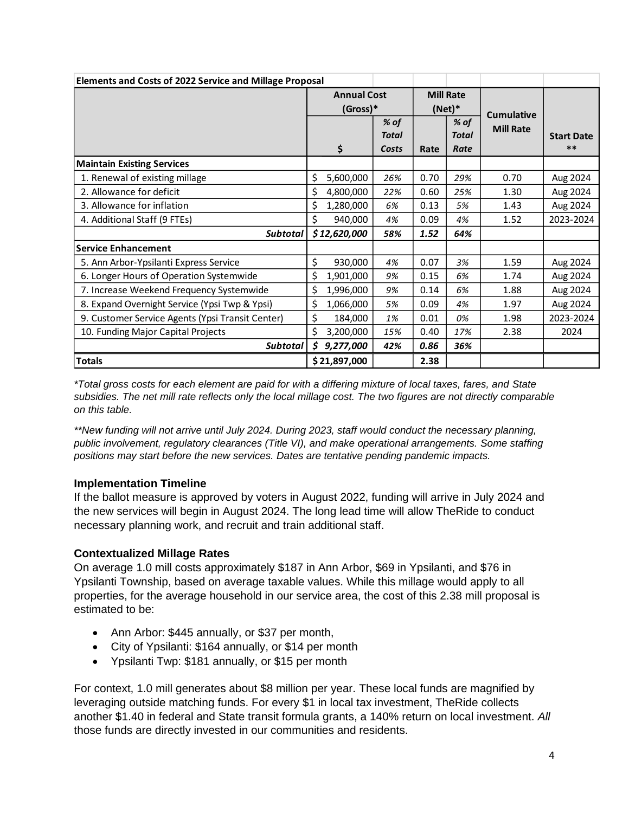| <b>Elements and Costs of 2022 Service and Millage Proposal</b> |                                |              |                              |      |                   |                   |           |
|----------------------------------------------------------------|--------------------------------|--------------|------------------------------|------|-------------------|-------------------|-----------|
|                                                                | <b>Annual Cost</b><br>(Gross)* |              | <b>Mill Rate</b><br>$(Net)*$ |      | <b>Cumulative</b> |                   |           |
|                                                                |                                |              |                              |      |                   |                   |           |
|                                                                |                                |              | % of<br>% of                 |      | <b>Mill Rate</b>  |                   |           |
|                                                                |                                |              | <b>Total</b>                 |      | <b>Total</b>      | <b>Start Date</b> |           |
|                                                                |                                | \$           | Costs                        | Rate | Rate              |                   | $***$     |
| <b>Maintain Existing Services</b>                              |                                |              |                              |      |                   |                   |           |
| 1. Renewal of existing millage                                 | \$                             | 5,600,000    | 26%                          | 0.70 | 29%               | 0.70              | Aug 2024  |
| 2. Allowance for deficit                                       | \$                             | 4,800,000    | 22%                          | 0.60 | 25%               | 1.30              | Aug 2024  |
| 3. Allowance for inflation                                     | \$                             | 1,280,000    | 6%                           | 0.13 | 5%                | 1.43              | Aug 2024  |
| 4. Additional Staff (9 FTEs)                                   | \$                             | 940,000      | 4%                           | 0.09 | 4%                | 1.52              | 2023-2024 |
| <b>Subtotal</b>                                                |                                | \$12,620,000 | 58%                          | 1.52 | 64%               |                   |           |
| <b>Service Enhancement</b>                                     |                                |              |                              |      |                   |                   |           |
| 5. Ann Arbor-Ypsilanti Express Service                         | \$                             | 930,000      | 4%                           | 0.07 | 3%                | 1.59              | Aug 2024  |
| 6. Longer Hours of Operation Systemwide                        | \$                             | 1,901,000    | 9%                           | 0.15 | 6%                | 1.74              | Aug 2024  |
| 7. Increase Weekend Frequency Systemwide                       | \$                             | 1,996,000    | 9%                           | 0.14 | 6%                | 1.88              | Aug 2024  |
| 8. Expand Overnight Service (Ypsi Twp & Ypsi)                  | \$                             | 1,066,000    | 5%                           | 0.09 | 4%                | 1.97              | Aug 2024  |
| 9. Customer Service Agents (Ypsi Transit Center)               | \$                             | 184,000      | 1%                           | 0.01 | 0%                | 1.98              | 2023-2024 |
| 10. Funding Major Capital Projects                             | \$                             | 3,200,000    | 15%                          | 0.40 | 17%               | 2.38              | 2024      |
| <b>Subtotal</b>                                                | \$                             | 9,277,000    | 42%                          | 0.86 | 36%               |                   |           |
| <b>Totals</b>                                                  |                                | \$21,897,000 |                              | 2.38 |                   |                   |           |

*\*Total gross costs for each element are paid for with a differing mixture of local taxes, fares, and State subsidies. The net mill rate reflects only the local millage cost. The two figures are not directly comparable on this table.* 

*\*\*New funding will not arrive until July 2024. During 2023, staff would conduct the necessary planning, public involvement, regulatory clearances (Title VI), and make operational arrangements. Some staffing positions may start before the new services. Dates are tentative pending pandemic impacts.*

#### **Implementation Timeline**

If the ballot measure is approved by voters in August 2022, funding will arrive in July 2024 and the new services will begin in August 2024. The long lead time will allow TheRide to conduct necessary planning work, and recruit and train additional staff.

# **Contextualized Millage Rates**

On average 1.0 mill costs approximately \$187 in Ann Arbor, \$69 in Ypsilanti, and \$76 in Ypsilanti Township, based on average taxable values. While this millage would apply to all properties, for the average household in our service area, the cost of this 2.38 mill proposal is estimated to be:

- Ann Arbor: \$445 annually, or \$37 per month,
- City of Ypsilanti: \$164 annually, or \$14 per month
- Ypsilanti Twp: \$181 annually, or \$15 per month

For context, 1.0 mill generates about \$8 million per year. These local funds are magnified by leveraging outside matching funds. For every \$1 in local tax investment, TheRide collects another \$1.40 in federal and State transit formula grants, a 140% return on local investment. *All* those funds are directly invested in our communities and residents.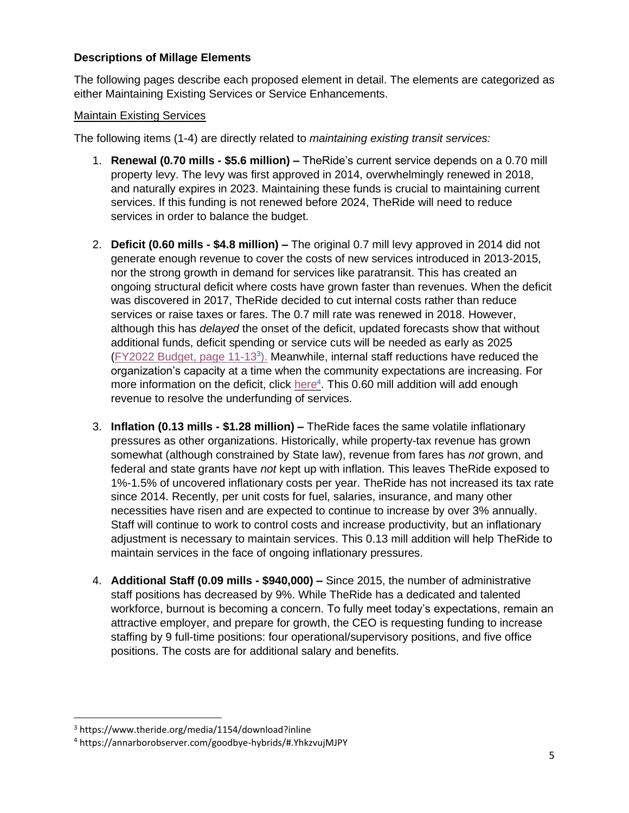# **Descriptions of Millage Elements**

The following pages describe each proposed element in detail. The elements are categorized as either Maintaining Existing Services or Service Enhancements.

#### Maintain Existing Services

The following items (1-4) are directly related to *maintaining existing transit services:*

- 1. **Renewal (0.70 mills - \$5.6 million) –** TheRide's current service depends on a 0.70 mill property levy. The levy was first approved in 2014, overwhelmingly renewed in 2018, and naturally expires in 2023. Maintaining these funds is crucial to maintaining current services. If this funding is not renewed before 2024, TheRide will need to reduce services in order to balance the budget.
- 2. **Deficit (0.60 mills - \$4.8 million) –** The original 0.7 mill levy approved in 2014 did not generate enough revenue to cover the costs of new services introduced in 2013-2015, nor the strong growth in demand for services like paratransit. This has created an ongoing structural deficit where costs have grown faster than revenues. When the deficit was discovered in 2017, TheRide decided to cut internal costs rather than reduce services or raise taxes or fares. The 0.7 mill rate was renewed in 2018. However, although this has *delayed* the onset of the deficit, updated forecasts show that without additional funds, deficit spending or service cuts will be needed as early as 2025  $(FY2022$  Budget, page  $11-13<sup>3</sup>$ ). Meanwhile, internal staff reductions have reduced the organization's capacity at a time when the community expectations are increasing. For more information on the deficit, click [here](https://annarborobserver.com/articles/goodbye__hybrids.html#.YhkzvujMJPY)<sup>4</sup>. This 0.60 mill addition will add enough revenue to resolve the underfunding of services.
- 3. **Inflation (0.13 mills - \$1.28 million) –** TheRide faces the same volatile inflationary pressures as other organizations. Historically, while property-tax revenue has grown somewhat (although constrained by State law), revenue from fares has *not* grown, and federal and state grants have *not* kept up with inflation. This leaves TheRide exposed to 1%-1.5% of uncovered inflationary costs per year. TheRide has not increased its tax rate since 2014. Recently, per unit costs for fuel, salaries, insurance, and many other necessities have risen and are expected to continue to increase by over 3% annually. Staff will continue to work to control costs and increase productivity, but an inflationary adjustment is necessary to maintain services. This 0.13 mill addition will help TheRide to maintain services in the face of ongoing inflationary pressures.
- 4. **Additional Staff (0.09 mills - \$940,000) –** Since 2015, the number of administrative staff positions has decreased by 9%. While TheRide has a dedicated and talented workforce, burnout is becoming a concern. To fully meet today's expectations, remain an attractive employer, and prepare for growth, the CEO is requesting funding to increase staffing by 9 full-time positions: four operational/supervisory positions, and five office positions. The costs are for additional salary and benefits.

<sup>3</sup> https://www.theride.org/media/1154/download?inline

<sup>4</sup> https://annarborobserver.com/goodbye-hybrids/#.YhkzvujMJPY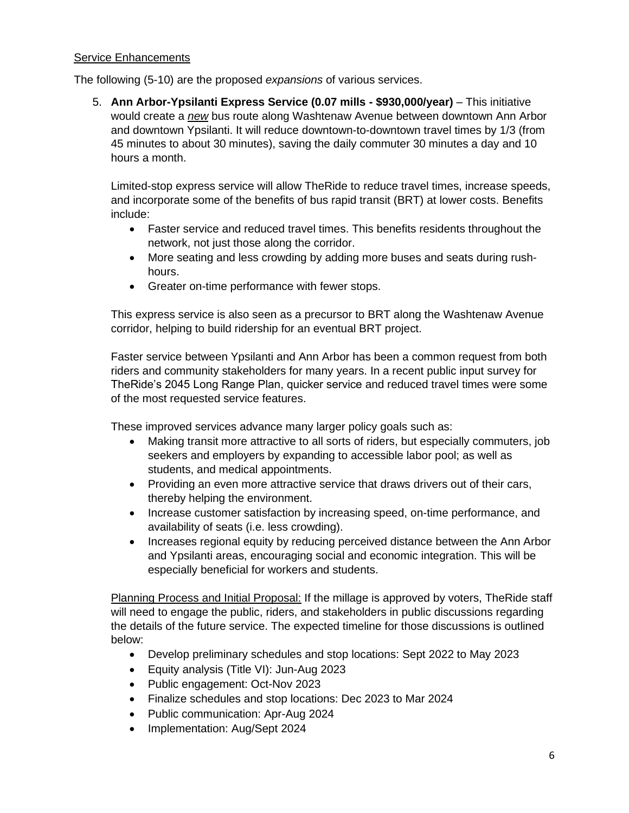#### Service Enhancements

The following (5-10) are the proposed *expansions* of various services.

5. **Ann Arbor-Ypsilanti Express Service (0.07 mills - \$930,000/year)** – This initiative would create a *new* bus route along Washtenaw Avenue between downtown Ann Arbor and downtown Ypsilanti. It will reduce downtown-to-downtown travel times by 1/3 (from 45 minutes to about 30 minutes), saving the daily commuter 30 minutes a day and 10 hours a month.

Limited-stop express service will allow TheRide to reduce travel times, increase speeds, and incorporate some of the benefits of bus rapid transit (BRT) at lower costs. Benefits include:

- Faster service and reduced travel times. This benefits residents throughout the network, not just those along the corridor.
- More seating and less crowding by adding more buses and seats during rushhours.
- Greater on-time performance with fewer stops.

This express service is also seen as a precursor to BRT along the Washtenaw Avenue corridor, helping to build ridership for an eventual BRT project.

Faster service between Ypsilanti and Ann Arbor has been a common request from both riders and community stakeholders for many years. In a recent public input survey for TheRide's 2045 Long Range Plan, quicker service and reduced travel times were some of the most requested service features.

These improved services advance many larger policy goals such as:

- Making transit more attractive to all sorts of riders, but especially commuters, job seekers and employers by expanding to accessible labor pool; as well as students, and medical appointments.
- Providing an even more attractive service that draws drivers out of their cars, thereby helping the environment.
- Increase customer satisfaction by increasing speed, on-time performance, and availability of seats (i.e. less crowding).
- Increases regional equity by reducing perceived distance between the Ann Arbor and Ypsilanti areas, encouraging social and economic integration. This will be especially beneficial for workers and students.

Planning Process and Initial Proposal: If the millage is approved by voters, TheRide staff will need to engage the public, riders, and stakeholders in public discussions regarding the details of the future service. The expected timeline for those discussions is outlined below:

- Develop preliminary schedules and stop locations: Sept 2022 to May 2023
- Equity analysis (Title VI): Jun-Aug 2023
- Public engagement: Oct-Nov 2023
- Finalize schedules and stop locations: Dec 2023 to Mar 2024
- Public communication: Apr-Aug 2024
- Implementation: Aug/Sept 2024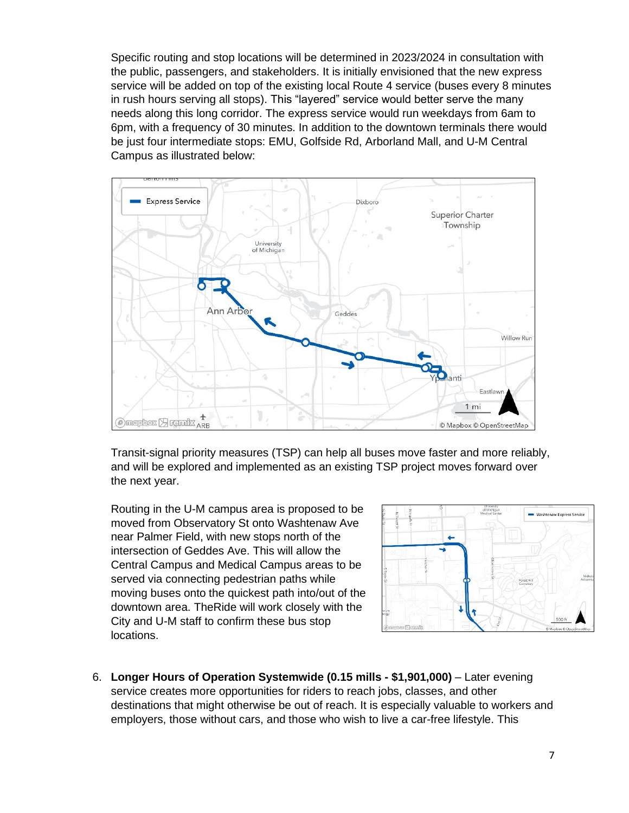Specific routing and stop locations will be determined in 2023/2024 in consultation with the public, passengers, and stakeholders. It is initially envisioned that the new express service will be added on top of the existing local Route 4 service (buses every 8 minutes in rush hours serving all stops). This "layered" service would better serve the many needs along this long corridor. The express service would run weekdays from 6am to 6pm, with a frequency of 30 minutes. In addition to the downtown terminals there would be just four intermediate stops: EMU, Golfside Rd, Arborland Mall, and U-M Central Campus as illustrated below:



Transit-signal priority measures (TSP) can help all buses move faster and more reliably, and will be explored and implemented as an existing TSP project moves forward over the next year.

Routing in the U-M campus area is proposed to be moved from Observatory St onto Washtenaw Ave near Palmer Field, with new stops north of the intersection of Geddes Ave. This will allow the Central Campus and Medical Campus areas to be served via connecting pedestrian paths while moving buses onto the quickest path into/out of the downtown area. TheRide will work closely with the City and U-M staff to confirm these bus stop locations.



6. **Longer Hours of Operation Systemwide (0.15 mills - \$1,901,000)** – Later evening service creates more opportunities for riders to reach jobs, classes, and other destinations that might otherwise be out of reach. It is especially valuable to workers and employers, those without cars, and those who wish to live a car-free lifestyle. This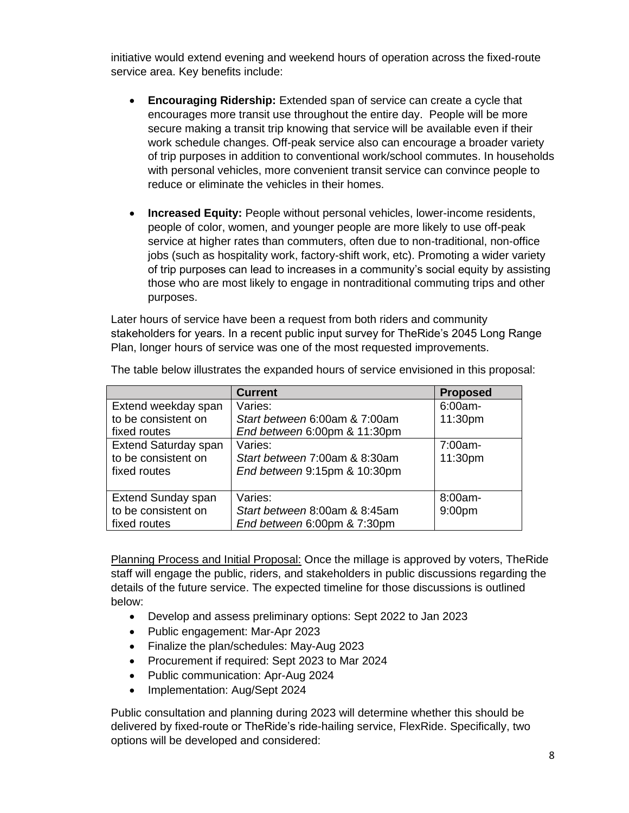initiative would extend evening and weekend hours of operation across the fixed-route service area. Key benefits include:

- **Encouraging Ridership:** Extended span of service can create a cycle that encourages more transit use throughout the entire day. People will be more secure making a transit trip knowing that service will be available even if their work schedule changes. Off-peak service also can encourage a broader variety of trip purposes in addition to conventional work/school commutes. In households with personal vehicles, more convenient transit service can convince people to reduce or eliminate the vehicles in their homes.
- **Increased Equity:** People without personal vehicles, lower-income residents, people of color, women, and younger people are more likely to use off-peak service at higher rates than commuters, often due to non-traditional, non-office jobs (such as hospitality work, factory-shift work, etc). Promoting a wider variety of trip purposes can lead to increases in a community's social equity by assisting those who are most likely to engage in nontraditional commuting trips and other purposes.

Later hours of service have been a request from both riders and community stakeholders for years. In a recent public input survey for TheRide's 2045 Long Range Plan, longer hours of service was one of the most requested improvements.

|                             | <b>Current</b>                | <b>Proposed</b>    |
|-----------------------------|-------------------------------|--------------------|
| Extend weekday span         | Varies:                       | $6:00am -$         |
| to be consistent on         | Start between 6:00am & 7:00am | 11:30pm            |
| fixed routes                | End between 6:00pm & 11:30pm  |                    |
| <b>Extend Saturday span</b> | Varies:                       | $7:00am -$         |
| to be consistent on         | Start between 7:00am & 8:30am | 11:30pm            |
| fixed routes                | End between 9:15pm & 10:30pm  |                    |
|                             |                               |                    |
| <b>Extend Sunday span</b>   | Varies:                       | 8:00am-            |
| to be consistent on         | Start between 8:00am & 8:45am | 9:00 <sub>pm</sub> |
| fixed routes                | End between 6:00pm & 7:30pm   |                    |

The table below illustrates the expanded hours of service envisioned in this proposal:

Planning Process and Initial Proposal: Once the millage is approved by voters, TheRide staff will engage the public, riders, and stakeholders in public discussions regarding the details of the future service. The expected timeline for those discussions is outlined below:

- Develop and assess preliminary options: Sept 2022 to Jan 2023
- Public engagement: Mar-Apr 2023
- Finalize the plan/schedules: May-Aug 2023
- Procurement if required: Sept 2023 to Mar 2024
- Public communication: Apr-Aug 2024
- Implementation: Aug/Sept 2024

Public consultation and planning during 2023 will determine whether this should be delivered by fixed-route or TheRide's ride-hailing service, FlexRide. Specifically, two options will be developed and considered: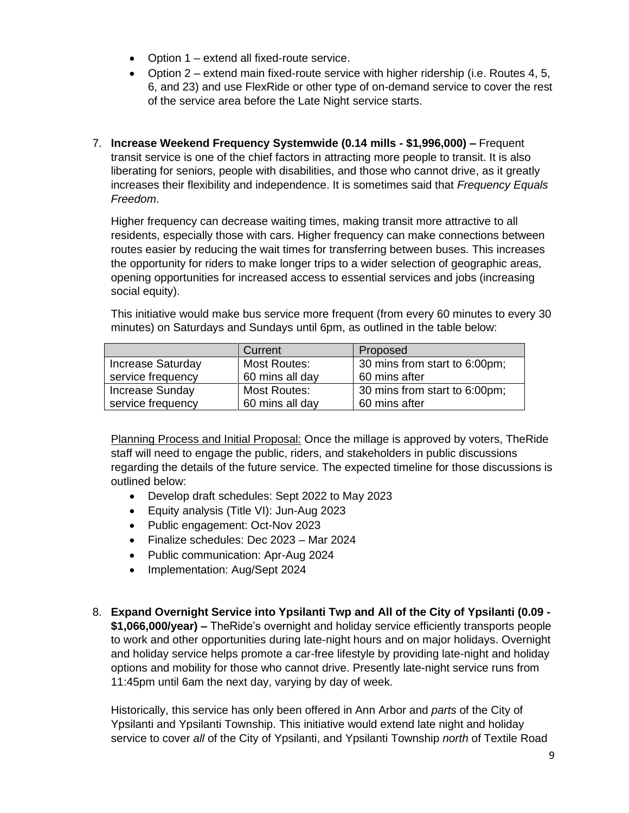- Option 1 extend all fixed-route service.
- Option  $2$  extend main fixed-route service with higher ridership (i.e. Routes 4, 5, 6, and 23) and use FlexRide or other type of on-demand service to cover the rest of the service area before the Late Night service starts.
- 7. **Increase Weekend Frequency Systemwide (0.14 mills - \$1,996,000) –** Frequent transit service is one of the chief factors in attracting more people to transit. It is also liberating for seniors, people with disabilities, and those who cannot drive, as it greatly increases their flexibility and independence. It is sometimes said that *Frequency Equals Freedom*.

Higher frequency can decrease waiting times, making transit more attractive to all residents, especially those with cars. Higher frequency can make connections between routes easier by reducing the wait times for transferring between buses. This increases the opportunity for riders to make longer trips to a wider selection of geographic areas, opening opportunities for increased access to essential services and jobs (increasing social equity).

This initiative would make bus service more frequent (from every 60 minutes to every 30 minutes) on Saturdays and Sundays until 6pm, as outlined in the table below:

|                          | Current             | Proposed                      |
|--------------------------|---------------------|-------------------------------|
| <b>Increase Saturday</b> | <b>Most Routes:</b> | 30 mins from start to 6:00pm; |
| service frequency        | 60 mins all day     | 60 mins after                 |
| <b>Increase Sunday</b>   | Most Routes:        | 30 mins from start to 6:00pm; |
| service frequency        | 60 mins all day     | 60 mins after                 |

Planning Process and Initial Proposal: Once the millage is approved by voters, TheRide staff will need to engage the public, riders, and stakeholders in public discussions regarding the details of the future service. The expected timeline for those discussions is outlined below:

- Develop draft schedules: Sept 2022 to May 2023
- Equity analysis (Title VI): Jun-Aug 2023
- Public engagement: Oct-Nov 2023
- Finalize schedules: Dec 2023 Mar 2024
- Public communication: Apr-Aug 2024
- Implementation: Aug/Sept 2024
- 8. **Expand Overnight Service into Ypsilanti Twp and All of the City of Ypsilanti (0.09 - \$1,066,000/year) –** TheRide's overnight and holiday service efficiently transports people to work and other opportunities during late-night hours and on major holidays. Overnight and holiday service helps promote a car-free lifestyle by providing late-night and holiday options and mobility for those who cannot drive. Presently late-night service runs from 11:45pm until 6am the next day, varying by day of week.

Historically, this service has only been offered in Ann Arbor and *parts* of the City of Ypsilanti and Ypsilanti Township. This initiative would extend late night and holiday service to cover *all* of the City of Ypsilanti, and Ypsilanti Township *north* of Textile Road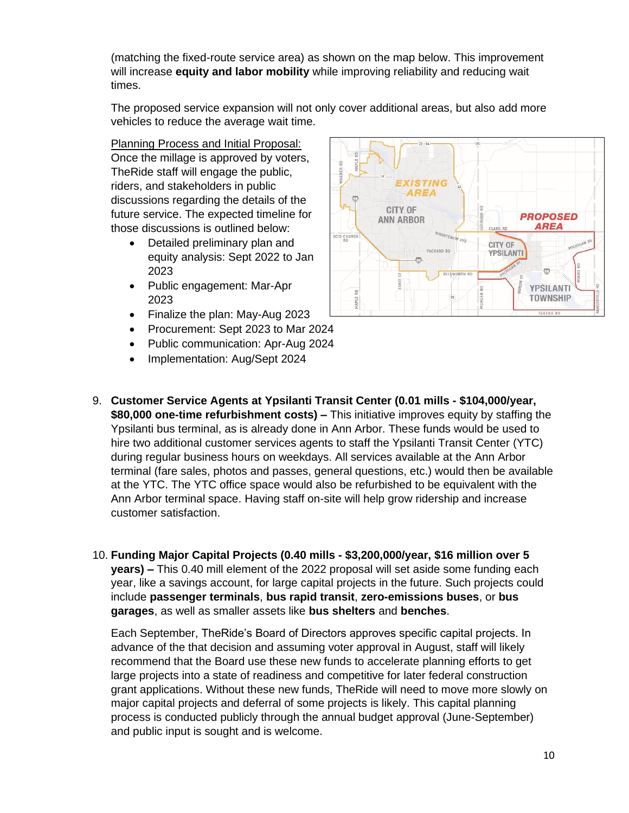(matching the fixed-route service area) as shown on the map below. This improvement will increase **equity and labor mobility** while improving reliability and reducing wait times.

The proposed service expansion will not only cover additional areas, but also add more vehicles to reduce the average wait time.

Planning Process and Initial Proposal: Once the millage is approved by voters, TheRide staff will engage the public, riders, and stakeholders in public discussions regarding the details of the future service. The expected timeline for those discussions is outlined below:

- Detailed preliminary plan and equity analysis: Sept 2022 to Jan 2023
- Public engagement: Mar-Apr 2023
- Finalize the plan: May-Aug 2023
- Procurement: Sept 2023 to Mar 2024
- Public communication: Apr-Aug 2024
- Implementation: Aug/Sept 2024



- 9. **Customer Service Agents at Ypsilanti Transit Center (0.01 mills - \$104,000/year, \$80,000 one-time refurbishment costs) –** This initiative improves equity by staffing the Ypsilanti bus terminal, as is already done in Ann Arbor. These funds would be used to hire two additional customer services agents to staff the Ypsilanti Transit Center (YTC) during regular business hours on weekdays. All services available at the Ann Arbor terminal (fare sales, photos and passes, general questions, etc.) would then be available at the YTC. The YTC office space would also be refurbished to be equivalent with the Ann Arbor terminal space. Having staff on-site will help grow ridership and increase customer satisfaction.
- 10. **Funding Major Capital Projects (0.40 mills - \$3,200,000/year, \$16 million over 5 years) –** This 0.40 mill element of the 2022 proposal will set aside some funding each year, like a savings account, for large capital projects in the future. Such projects could include **passenger terminals**, **bus rapid transit**, **zero-emissions buses**, or **bus garages**, as well as smaller assets like **bus shelters** and **benches**.

Each September, TheRide's Board of Directors approves specific capital projects. In advance of the that decision and assuming voter approval in August, staff will likely recommend that the Board use these new funds to accelerate planning efforts to get large projects into a state of readiness and competitive for later federal construction grant applications. Without these new funds, TheRide will need to move more slowly on major capital projects and deferral of some projects is likely. This capital planning process is conducted publicly through the annual budget approval (June-September) and public input is sought and is welcome.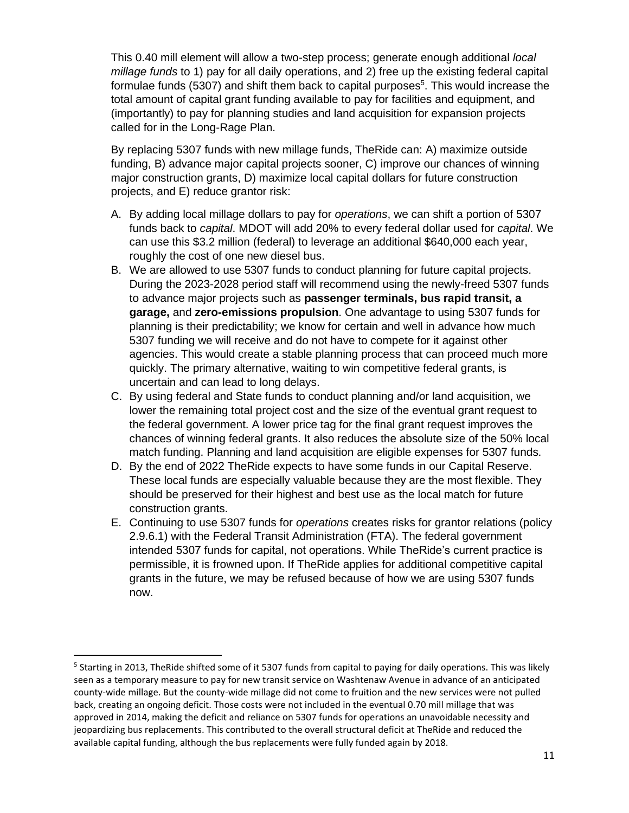This 0.40 mill element will allow a two-step process; generate enough additional *local millage funds* to 1) pay for all daily operations, and 2) free up the existing federal capital formulae funds (5307) and shift them back to capital purposes<sup>5</sup>. This would increase the total amount of capital grant funding available to pay for facilities and equipment, and (importantly) to pay for planning studies and land acquisition for expansion projects called for in the Long-Rage Plan.

By replacing 5307 funds with new millage funds, TheRide can: A) maximize outside funding, B) advance major capital projects sooner, C) improve our chances of winning major construction grants, D) maximize local capital dollars for future construction projects, and E) reduce grantor risk:

- A. By adding local millage dollars to pay for *operations*, we can shift a portion of 5307 funds back to *capital*. MDOT will add 20% to every federal dollar used for *capital*. We can use this \$3.2 million (federal) to leverage an additional \$640,000 each year, roughly the cost of one new diesel bus.
- B. We are allowed to use 5307 funds to conduct planning for future capital projects. During the 2023-2028 period staff will recommend using the newly-freed 5307 funds to advance major projects such as **passenger terminals, bus rapid transit, a garage,** and **zero-emissions propulsion**. One advantage to using 5307 funds for planning is their predictability; we know for certain and well in advance how much 5307 funding we will receive and do not have to compete for it against other agencies. This would create a stable planning process that can proceed much more quickly. The primary alternative, waiting to win competitive federal grants, is uncertain and can lead to long delays.
- C. By using federal and State funds to conduct planning and/or land acquisition, we lower the remaining total project cost and the size of the eventual grant request to the federal government. A lower price tag for the final grant request improves the chances of winning federal grants. It also reduces the absolute size of the 50% local match funding. Planning and land acquisition are eligible expenses for 5307 funds.
- D. By the end of 2022 TheRide expects to have some funds in our Capital Reserve. These local funds are especially valuable because they are the most flexible. They should be preserved for their highest and best use as the local match for future construction grants.
- E. Continuing to use 5307 funds for *operations* creates risks for grantor relations (policy 2.9.6.1) with the Federal Transit Administration (FTA). The federal government intended 5307 funds for capital, not operations. While TheRide's current practice is permissible, it is frowned upon. If TheRide applies for additional competitive capital grants in the future, we may be refused because of how we are using 5307 funds now.

<sup>&</sup>lt;sup>5</sup> Starting in 2013, TheRide shifted some of it 5307 funds from capital to paying for daily operations. This was likely seen as a temporary measure to pay for new transit service on Washtenaw Avenue in advance of an anticipated county-wide millage. But the county-wide millage did not come to fruition and the new services were not pulled back, creating an ongoing deficit. Those costs were not included in the eventual 0.70 mill millage that was approved in 2014, making the deficit and reliance on 5307 funds for operations an unavoidable necessity and jeopardizing bus replacements. This contributed to the overall structural deficit at TheRide and reduced the available capital funding, although the bus replacements were fully funded again by 2018.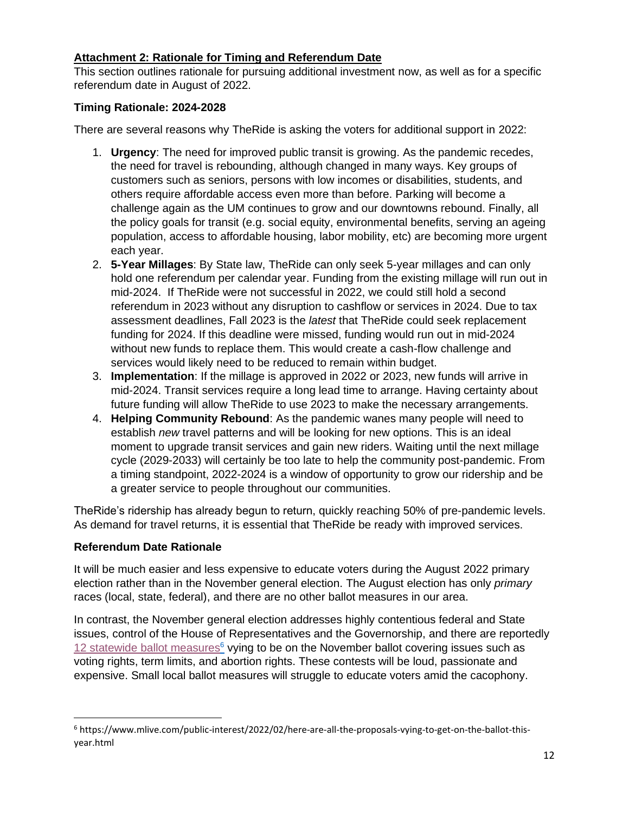# **Attachment 2: Rationale for Timing and Referendum Date**

This section outlines rationale for pursuing additional investment now, as well as for a specific referendum date in August of 2022.

# **Timing Rationale: 2024-2028**

There are several reasons why TheRide is asking the voters for additional support in 2022:

- 1. **Urgency**: The need for improved public transit is growing. As the pandemic recedes, the need for travel is rebounding, although changed in many ways. Key groups of customers such as seniors, persons with low incomes or disabilities, students, and others require affordable access even more than before. Parking will become a challenge again as the UM continues to grow and our downtowns rebound. Finally, all the policy goals for transit (e.g. social equity, environmental benefits, serving an ageing population, access to affordable housing, labor mobility, etc) are becoming more urgent each year.
- 2. **5-Year Millages**: By State law, TheRide can only seek 5-year millages and can only hold one referendum per calendar year. Funding from the existing millage will run out in mid-2024. If TheRide were not successful in 2022, we could still hold a second referendum in 2023 without any disruption to cashflow or services in 2024. Due to tax assessment deadlines, Fall 2023 is the *latest* that TheRide could seek replacement funding for 2024. If this deadline were missed, funding would run out in mid-2024 without new funds to replace them. This would create a cash-flow challenge and services would likely need to be reduced to remain within budget.
- 3. **Implementation**: If the millage is approved in 2022 or 2023, new funds will arrive in mid-2024. Transit services require a long lead time to arrange. Having certainty about future funding will allow TheRide to use 2023 to make the necessary arrangements.
- 4. **Helping Community Rebound**: As the pandemic wanes many people will need to establish *new* travel patterns and will be looking for new options. This is an ideal moment to upgrade transit services and gain new riders. Waiting until the next millage cycle (2029-2033) will certainly be too late to help the community post-pandemic. From a timing standpoint, 2022-2024 is a window of opportunity to grow our ridership and be a greater service to people throughout our communities.

TheRide's ridership has already begun to return, quickly reaching 50% of pre-pandemic levels. As demand for travel returns, it is essential that TheRide be ready with improved services.

#### **Referendum Date Rationale**

It will be much easier and less expensive to educate voters during the August 2022 primary election rather than in the November general election. The August election has only *primary* races (local, state, federal), and there are no other ballot measures in our area.

In contrast, the November general election addresses highly contentious federal and State issues, control of the House of Representatives and the Governorship, and there are reportedly [12 statewide ballot measures](https://www.mlive.com/public-interest/2022/02/here-are-all-the-proposals-vying-to-get-on-the-ballot-this-year.html) $6$  vying to be on the November ballot covering issues such as voting rights, term limits, and abortion rights. These contests will be loud, passionate and expensive. Small local ballot measures will struggle to educate voters amid the cacophony.

<sup>6</sup> https://www.mlive.com/public-interest/2022/02/here-are-all-the-proposals-vying-to-get-on-the-ballot-thisyear.html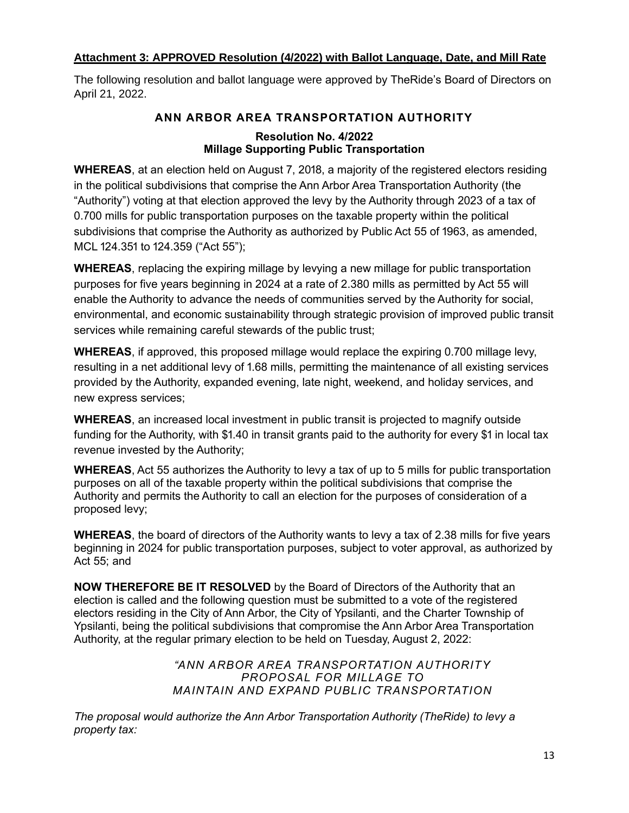# **Attachment 3: APPROVED Resolution (4/2022) with Ballot Language, Date, and Mill Rate**

The following resolution and ballot language were approved by TheRide's Board of Directors on April 21, 2022.

# **ANN ARBOR AREA TRANSPORTATION AUTHORITY Resolution No. 4/2022**

# **Millage Supporting Public Transportation**

**WHEREAS**, at an election held on August 7, 2018, a majority of the registered electors residing in the political subdivisions that comprise the Ann Arbor Area Transportation Authority (the "Authority") voting at that election approved the levy by the Authority through 2023 of a tax of 0.700 mills for public transportation purposes on the taxable property within the political subdivisions that comprise the Authority as authorized by Public Act 55 of 1963, as amended, MCL 124.351 to 124.359 ("Act 55");

**WHEREAS**, replacing the expiring millage by levying a new millage for public transportation purposes for five years beginning in 2024 at a rate of 2.380 mills as permitted by Act 55 will enable the Authority to advance the needs of communities served by the Authority for social, environmental, and economic sustainability through strategic provision of improved public transit services while remaining careful stewards of the public trust;

**WHEREAS**, if approved, this proposed millage would replace the expiring 0.700 millage levy, resulting in a net additional levy of 1.68 mills, permitting the maintenance of all existing services provided by the Authority, expanded evening, late night, weekend, and holiday services, and new express services;

**WHEREAS**, an increased local investment in public transit is projected to magnify outside funding for the Authority, with \$1.40 in transit grants paid to the authority for every \$1 in local tax revenue invested by the Authority;

**WHEREAS**, Act 55 authorizes the Authority to levy a tax of up to 5 mills for public transportation purposes on all of the taxable property within the political subdivisions that comprise the Authority and permits the Authority to call an election for the purposes of consideration of a proposed levy;

**WHEREAS**, the board of directors of the Authority wants to levy a tax of 2.38 mills for five years beginning in 2024 for public transportation purposes, subject to voter approval, as authorized by Act 55; and

**NOW THEREFORE BE IT RESOLVED** by the Board of Directors of the Authority that an election is called and the following question must be submitted to a vote of the registered electors residing in the City of Ann Arbor, the City of Ypsilanti, and the Charter Township of Ypsilanti, being the political subdivisions that compromise the Ann Arbor Area Transportation Authority, at the regular primary election to be held on Tuesday, August 2, 2022:

> *"ANN ARBOR AREA TRANSPORTATION AUTHORITY PROPOSAL FOR MILLAGE TO MAINTAIN AND EXPAND PUBLIC TRANSPORTATION*

*The proposal would authorize the Ann Arbor Transportation Authority (TheRide) to levy a property tax:*